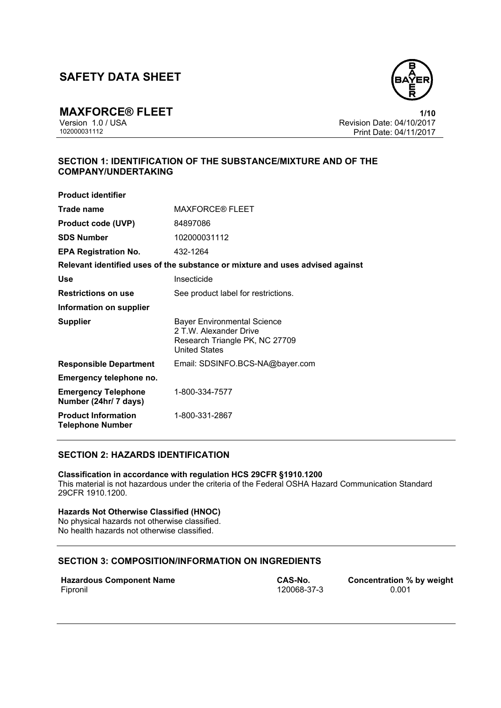

**MAXFORCE® FLEET** 1/10<br>Version 1.0 / USA **1/10**<br>Revision Date: 04/10/2017 Version 1.0 / USA Revision Date: 04/10/2017<br>102000031112 Print Date: 04/11/2017 Print Date: 04/11/2017

# **SECTION 1: IDENTIFICATION OF THE SUBSTANCE/MIXTURE AND OF THE COMPANY/UNDERTAKING**

| <b>Product identifier</b>                             |                                                                                                                        |
|-------------------------------------------------------|------------------------------------------------------------------------------------------------------------------------|
| Trade name                                            | <b>MAXFORCE® FLEET</b>                                                                                                 |
| <b>Product code (UVP)</b>                             | 84897086                                                                                                               |
| <b>SDS Number</b>                                     | 102000031112                                                                                                           |
| <b>EPA Registration No.</b>                           | 432-1264                                                                                                               |
|                                                       | Relevant identified uses of the substance or mixture and uses advised against                                          |
| Use                                                   | Insecticide                                                                                                            |
| <b>Restrictions on use</b>                            | See product label for restrictions.                                                                                    |
| Information on supplier                               |                                                                                                                        |
| <b>Supplier</b>                                       | <b>Bayer Environmental Science</b><br>2 T.W. Alexander Drive<br>Research Triangle PK, NC 27709<br><b>United States</b> |
| <b>Responsible Department</b>                         | Email: SDSINFO.BCS-NA@bayer.com                                                                                        |
| Emergency telephone no.                               |                                                                                                                        |
| <b>Emergency Telephone</b><br>Number (24hr/ 7 days)   | 1-800-334-7577                                                                                                         |
| <b>Product Information</b><br><b>Telephone Number</b> | 1-800-331-2867                                                                                                         |

# **SECTION 2: HAZARDS IDENTIFICATION**

**Classification in accordance with regulation HCS 29CFR §1910.1200**  This material is not hazardous under the criteria of the Federal OSHA Hazard Communication Standard 29CFR 1910.1200.

## **Hazards Not Otherwise Classified (HNOC)**

No physical hazards not otherwise classified. No health hazards not otherwise classified.

## **SECTION 3: COMPOSITION/INFORMATION ON INGREDIENTS**

| <b>Hazardous Component Name</b> |  |
|---------------------------------|--|
| Fipronil                        |  |

120068-37-3

**CAS-No. Concentration % by weight** 120068-37-3 **CONCENTED** 0.001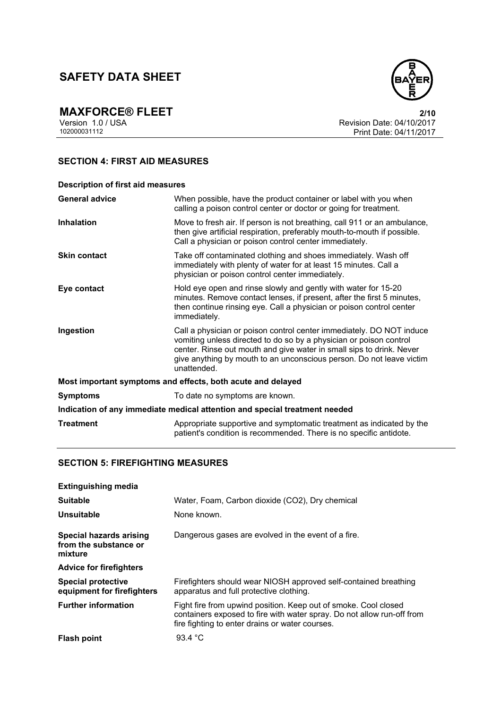

**MAXFORCE® FLEET** 2/10<br>
Version 1.0 / USA Revision Date: 04/10/2017<br>
102000031112 Print Date: 04/11/2017 Revision Date: 04/10/2017 Print Date: 04/11/2017

# **SECTION 4: FIRST AID MEASURES**

| <b>Description of first aid measures</b>                                   |                                                                                                                                                                                                                                                                                                           |  |
|----------------------------------------------------------------------------|-----------------------------------------------------------------------------------------------------------------------------------------------------------------------------------------------------------------------------------------------------------------------------------------------------------|--|
| <b>General advice</b>                                                      | When possible, have the product container or label with you when<br>calling a poison control center or doctor or going for treatment.                                                                                                                                                                     |  |
| <b>Inhalation</b>                                                          | Move to fresh air. If person is not breathing, call 911 or an ambulance,<br>then give artificial respiration, preferably mouth-to-mouth if possible.<br>Call a physician or poison control center immediately.                                                                                            |  |
| <b>Skin contact</b>                                                        | Take off contaminated clothing and shoes immediately. Wash off<br>immediately with plenty of water for at least 15 minutes. Call a<br>physician or poison control center immediately.                                                                                                                     |  |
| Eye contact                                                                | Hold eye open and rinse slowly and gently with water for 15-20<br>minutes. Remove contact lenses, if present, after the first 5 minutes,<br>then continue rinsing eye. Call a physician or poison control center<br>immediately.                                                                          |  |
| Ingestion                                                                  | Call a physician or poison control center immediately. DO NOT induce<br>vomiting unless directed to do so by a physician or poison control<br>center. Rinse out mouth and give water in small sips to drink. Never<br>give anything by mouth to an unconscious person. Do not leave victim<br>unattended. |  |
| Most important symptoms and effects, both acute and delayed                |                                                                                                                                                                                                                                                                                                           |  |
| <b>Symptoms</b>                                                            | To date no symptoms are known.                                                                                                                                                                                                                                                                            |  |
| Indication of any immediate medical attention and special treatment needed |                                                                                                                                                                                                                                                                                                           |  |
| <b>Treatment</b>                                                           | Appropriate supportive and symptomatic treatment as indicated by the<br>patient's condition is recommended. There is no specific antidote.                                                                                                                                                                |  |

## **SECTION 5: FIREFIGHTING MEASURES**

| <b>Extinguishing media</b>                                  |                                                                                                                                                                                              |
|-------------------------------------------------------------|----------------------------------------------------------------------------------------------------------------------------------------------------------------------------------------------|
| <b>Suitable</b>                                             | Water, Foam, Carbon dioxide (CO2), Dry chemical                                                                                                                                              |
| Unsuitable                                                  | None known.                                                                                                                                                                                  |
| Special hazards arising<br>from the substance or<br>mixture | Dangerous gases are evolved in the event of a fire.                                                                                                                                          |
| <b>Advice for firefighters</b>                              |                                                                                                                                                                                              |
| <b>Special protective</b><br>equipment for firefighters     | Firefighters should wear NIOSH approved self-contained breathing<br>apparatus and full protective clothing.                                                                                  |
| <b>Further information</b>                                  | Fight fire from upwind position. Keep out of smoke. Cool closed<br>containers exposed to fire with water spray. Do not allow run-off from<br>fire fighting to enter drains or water courses. |
| <b>Flash point</b>                                          | 93.4 °C                                                                                                                                                                                      |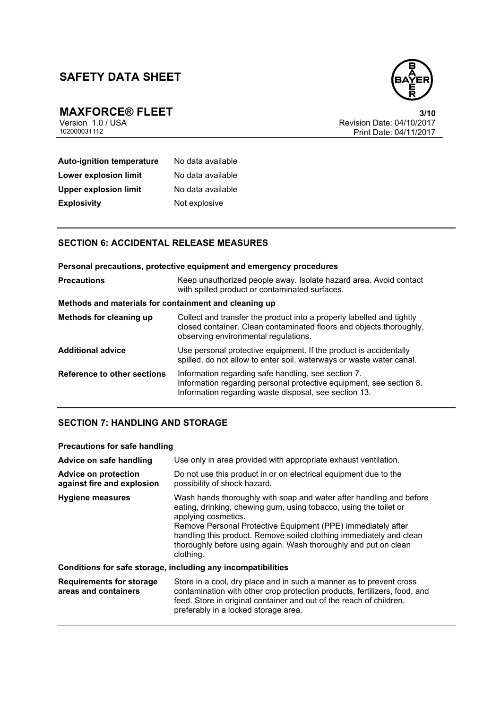

**MAXFORCE® FLEET** 3/10<br>
Version 1.0 / USA PERITENT 102000031112<br>
102000031112 Print Date: 04/11/2017 Revision Date: 04/10/2017 Print Date: 04/11/2017

# **Auto-ignition temperature** No data available **Lower explosion limit** No data available **Upper explosion limit** No data available **Explosivity** Not explosive

# **SECTION 6: ACCIDENTAL RELEASE MEASURES**

|                                                       | Personal precautions, protective equipment and emergency procedures                                                                                                                  |  |
|-------------------------------------------------------|--------------------------------------------------------------------------------------------------------------------------------------------------------------------------------------|--|
| <b>Precautions</b>                                    | Keep unauthorized people away. Isolate hazard area. Avoid contact<br>with spilled product or contaminated surfaces.                                                                  |  |
| Methods and materials for containment and cleaning up |                                                                                                                                                                                      |  |
| <b>Methods for cleaning up</b>                        | Collect and transfer the product into a properly labelled and tightly<br>closed container. Clean contaminated floors and objects thoroughly,<br>observing environmental regulations. |  |
| <b>Additional advice</b>                              | Use personal protective equipment. If the product is accidentally<br>spilled, do not allow to enter soil, waterways or waste water canal.                                            |  |
| Reference to other sections                           | Information regarding safe handling, see section 7.<br>Information regarding personal protective equipment, see section 8.<br>Information regarding waste disposal, see section 13.  |  |

## **SECTION 7: HANDLING AND STORAGE**

### **Precautions for safe handling**

| Advice on safe handling                                   | Use only in area provided with appropriate exhaust ventilation.                                                                                                                                                                                                                                                                                                                        |
|-----------------------------------------------------------|----------------------------------------------------------------------------------------------------------------------------------------------------------------------------------------------------------------------------------------------------------------------------------------------------------------------------------------------------------------------------------------|
| <b>Advice on protection</b><br>against fire and explosion | Do not use this product in or on electrical equipment due to the<br>possibility of shock hazard.                                                                                                                                                                                                                                                                                       |
| <b>Hygiene measures</b>                                   | Wash hands thoroughly with soap and water after handling and before<br>eating, drinking, chewing gum, using tobacco, using the toilet or<br>applying cosmetics.<br>Remove Personal Protective Equipment (PPE) immediately after<br>handling this product. Remove soiled clothing immediately and clean<br>thoroughly before using again. Wash thoroughly and put on clean<br>clothing. |
|                                                           | Conditions for safe storage, including any incompatibilities                                                                                                                                                                                                                                                                                                                           |
| <b>Requirements for storage</b><br>areas and containers   | Store in a cool, dry place and in such a manner as to prevent cross<br>contamination with other crop protection products, fertilizers, food, and<br>feed. Store in original container and out of the reach of children,<br>preferably in a locked storage area.                                                                                                                        |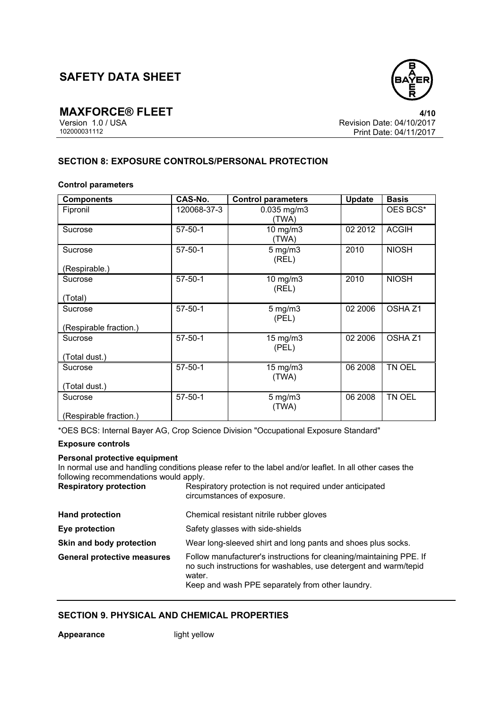

**MAXFORCE® FLEET**<br>Version 1.0 / USA **4/10**<br>Revision Date: 04/10/2017 Version 1.0 / USA Revision Date: 04/10/2017<br>102000031112<br>Print Date: 04/11/2017 Print Date: 04/11/2017

# **SECTION 8: EXPOSURE CONTROLS/PERSONAL PROTECTION**

### **Control parameters**

| <b>Components</b>      | CAS-No.       | <b>Control parameters</b> | <b>Update</b> | <b>Basis</b>       |
|------------------------|---------------|---------------------------|---------------|--------------------|
| Fipronil               | 120068-37-3   | 0.035 mg/m3<br>(TWA)      |               | OES BCS*           |
| Sucrose                | $57 - 50 - 1$ | 10 mg/m3<br>(TWA)         | 02 2012       | <b>ACGIH</b>       |
| Sucrose                | $57 - 50 - 1$ | $5 \text{ mg/m}$<br>(REL) | 2010          | <b>NIOSH</b>       |
| (Respirable.)          |               |                           |               |                    |
| Sucrose                | $57 - 50 - 1$ | $10$ mg/m $3$<br>(REL)    | 2010          | <b>NIOSH</b>       |
| (Total)                |               |                           |               |                    |
| Sucrose                | $57 - 50 - 1$ | $5$ mg/m $3$<br>(PEL)     | 02 2006       | OSHA <sub>Z1</sub> |
| (Respirable fraction.) |               |                           |               |                    |
| Sucrose                | $57 - 50 - 1$ | $15$ mg/m $3$<br>(PEL)    | 02 2006       | OSHA <sub>Z1</sub> |
| (Total dust.)          |               |                           |               |                    |
| Sucrose                | $57 - 50 - 1$ | $15$ mg/m $3$<br>(TWA)    | 06 2008       | TN OEL             |
| (Total dust.)          |               |                           |               |                    |
| Sucrose                | $57 - 50 - 1$ | $5$ mg/m $3$<br>(TWA)     | 06 2008       | TN OEL             |
| (Respirable fraction.) |               |                           |               |                    |

\*OES BCS: Internal Bayer AG, Crop Science Division "Occupational Exposure Standard"

### **Exposure controls**

#### **Personal protective equipment**

In normal use and handling conditions please refer to the label and/or leaflet. In all other cases the following recommendations would apply.

| <b>Respiratory protection</b>      | Respiratory protection is not required under anticipated<br>circumstances of exposure.                                                                                                                |
|------------------------------------|-------------------------------------------------------------------------------------------------------------------------------------------------------------------------------------------------------|
| <b>Hand protection</b>             | Chemical resistant nitrile rubber gloves                                                                                                                                                              |
| Eye protection                     | Safety glasses with side-shields                                                                                                                                                                      |
| Skin and body protection           | Wear long-sleeved shirt and long pants and shoes plus socks.                                                                                                                                          |
| <b>General protective measures</b> | Follow manufacturer's instructions for cleaning/maintaining PPE. If<br>no such instructions for washables, use detergent and warm/tepid<br>water.<br>Keep and wash PPE separately from other laundry. |

# **SECTION 9. PHYSICAL AND CHEMICAL PROPERTIES**

**Appearance** light yellow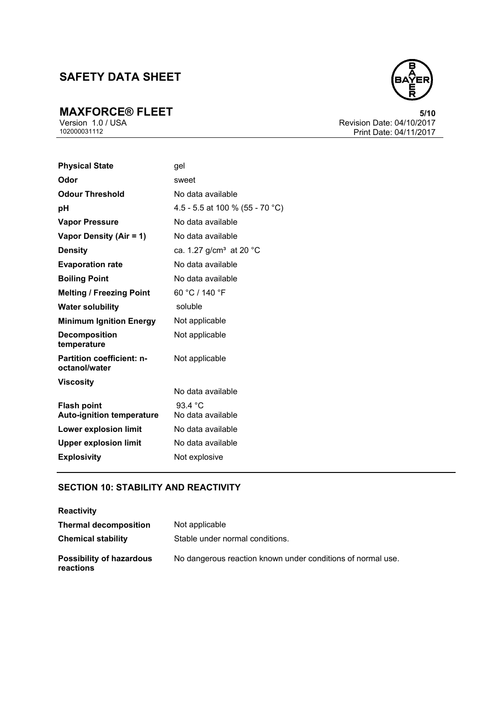**MAXFORCE® FLEET** 5/10<br>
Version 1.0 / USA Revision Date: 04/10/2017<br>
102000031112 Print Date: 04/11/2017 Revision Date: 04/10/2017 Print Date: 04/11/2017

| <b>Physical State</b>                                  | gel                                 |
|--------------------------------------------------------|-------------------------------------|
| Odor                                                   | sweet                               |
| <b>Odour Threshold</b>                                 | No data available                   |
| рH                                                     | 4.5 - 5.5 at 100 % (55 - 70 °C)     |
| <b>Vapor Pressure</b>                                  | No data available                   |
| Vapor Density (Air = 1)                                | No data available                   |
| <b>Density</b>                                         | ca. 1.27 g/cm <sup>3</sup> at 20 °C |
| <b>Evaporation rate</b>                                | No data available                   |
| <b>Boiling Point</b>                                   | No data available                   |
| <b>Melting / Freezing Point</b>                        | 60 °C / 140 °F                      |
| <b>Water solubility</b>                                | soluble                             |
| <b>Minimum Ignition Energy</b>                         | Not applicable                      |
| <b>Decomposition</b><br>temperature                    | Not applicable                      |
| <b>Partition coefficient: n-</b><br>octanol/water      | Not applicable                      |
| Viscosity                                              | No data available                   |
| <b>Flash point</b><br><b>Auto-ignition temperature</b> | 93.4 °C<br>No data available        |
| <b>Lower explosion limit</b>                           | No data available                   |
| <b>Upper explosion limit</b>                           | No data available                   |
| <b>Explosivity</b>                                     | Not explosive                       |

# **SECTION 10: STABILITY AND REACTIVITY**

| <b>Reactivity</b>                            |                                                             |
|----------------------------------------------|-------------------------------------------------------------|
| <b>Thermal decomposition</b>                 | Not applicable                                              |
| <b>Chemical stability</b>                    | Stable under normal conditions.                             |
| <b>Possibility of hazardous</b><br>reactions | No dangerous reaction known under conditions of normal use. |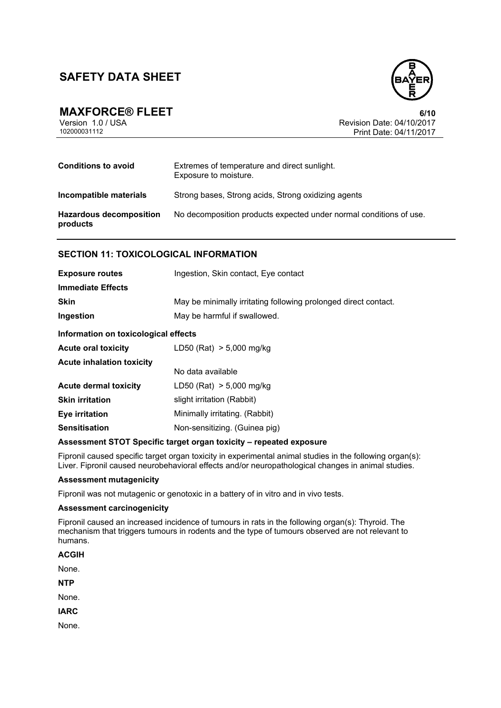



**MAXFORCE® FLEET** 6/10<br>Version 1.0 / USA 6/10<br>Revision Date: 04/10/2017 Version 1.0 / USA Revision Date: 04/10/2017<br>102000031112 Print Date: 04/11/2017 Print Date: 04/11/2017

| <b>Conditions to avoid</b>                 | Extremes of temperature and direct sunlight.<br>Exposure to moisture. |
|--------------------------------------------|-----------------------------------------------------------------------|
| Incompatible materials                     | Strong bases, Strong acids, Strong oxidizing agents                   |
| <b>Hazardous decomposition</b><br>products | No decomposition products expected under normal conditions of use.    |

# **SECTION 11: TOXICOLOGICAL INFORMATION**

| <b>Exposure routes</b>               | Ingestion, Skin contact, Eye contact                            |  |
|--------------------------------------|-----------------------------------------------------------------|--|
| <b>Immediate Effects</b>             |                                                                 |  |
| <b>Skin</b>                          | May be minimally irritating following prolonged direct contact. |  |
| Ingestion                            | May be harmful if swallowed.                                    |  |
| Information on toxicological effects |                                                                 |  |
| <b>Acute oral toxicity</b>           | LD50 (Rat) $> 5,000$ mg/kg                                      |  |
| Acute inholotion toyicity            |                                                                 |  |

| Acute Innaiation toxicity |                                |  |
|---------------------------|--------------------------------|--|
|                           | No data available              |  |
| Acute dermal toxicity     | LD50 (Rat) $> 5,000$ mg/kg     |  |
| Skin irritation           | slight irritation (Rabbit)     |  |
| Eye irritation            | Minimally irritating. (Rabbit) |  |
| Sensitisation             | Non-sensitizing. (Guinea pig)  |  |

### **Assessment STOT Specific target organ toxicity – repeated exposure**

Fipronil caused specific target organ toxicity in experimental animal studies in the following organ(s): Liver. Fipronil caused neurobehavioral effects and/or neuropathological changes in animal studies.

#### **Assessment mutagenicity**

Fipronil was not mutagenic or genotoxic in a battery of in vitro and in vivo tests.

#### **Assessment carcinogenicity**

Fipronil caused an increased incidence of tumours in rats in the following organ(s): Thyroid. The mechanism that triggers tumours in rodents and the type of tumours observed are not relevant to humans.

None.

**NTP** 

None.

**IARC** 

None.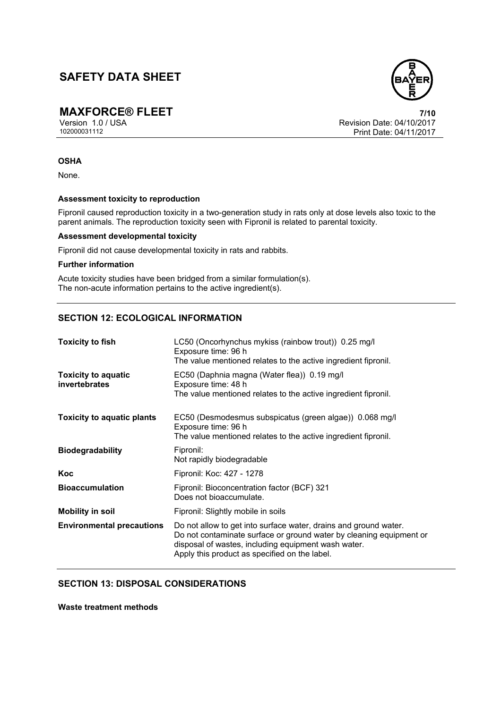**MAXFORCE® FLEET**<br>Version 1.0 / USA *T***/10**<br>Revision Date: 04/10/2017 Version 1.0 / USA Revision Date: 04/10/2017<br>102000031112 Print Date: 04/11/2017 Print Date: 04/11/2017

### **OSHA**

None.

### **Assessment toxicity to reproduction**

Fipronil caused reproduction toxicity in a two-generation study in rats only at dose levels also toxic to the parent animals. The reproduction toxicity seen with Fipronil is related to parental toxicity.

## **Assessment developmental toxicity**

Fipronil did not cause developmental toxicity in rats and rabbits.

### **Further information**

Acute toxicity studies have been bridged from a similar formulation(s). The non-acute information pertains to the active ingredient(s).

## **SECTION 12: ECOLOGICAL INFORMATION**

| <b>Toxicity to fish</b>                            | LC50 (Oncorhynchus mykiss (rainbow trout)) 0.25 mg/l<br>Exposure time: 96 h<br>The value mentioned relates to the active ingredient fipronil.                                                                                                   |  |
|----------------------------------------------------|-------------------------------------------------------------------------------------------------------------------------------------------------------------------------------------------------------------------------------------------------|--|
| <b>Toxicity to aquatic</b><br><b>invertebrates</b> | EC50 (Daphnia magna (Water flea)) 0.19 mg/l<br>Exposure time: 48 h<br>The value mentioned relates to the active ingredient fipronil.                                                                                                            |  |
| <b>Toxicity to aquatic plants</b>                  | EC50 (Desmodesmus subspicatus (green algae)) 0.068 mg/l<br>Exposure time: 96 h<br>The value mentioned relates to the active ingredient fipronil.                                                                                                |  |
| <b>Biodegradability</b>                            | Fipronil:<br>Not rapidly biodegradable                                                                                                                                                                                                          |  |
| Koc                                                | Fipronil: Koc: 427 - 1278                                                                                                                                                                                                                       |  |
| <b>Bioaccumulation</b>                             | Fipronil: Bioconcentration factor (BCF) 321<br>Does not bioaccumulate.                                                                                                                                                                          |  |
| <b>Mobility in soil</b>                            | Fipronil: Slightly mobile in soils                                                                                                                                                                                                              |  |
| <b>Environmental precautions</b>                   | Do not allow to get into surface water, drains and ground water.<br>Do not contaminate surface or ground water by cleaning equipment or<br>disposal of wastes, including equipment wash water.<br>Apply this product as specified on the label. |  |

# **SECTION 13: DISPOSAL CONSIDERATIONS**

**Waste treatment methods** 

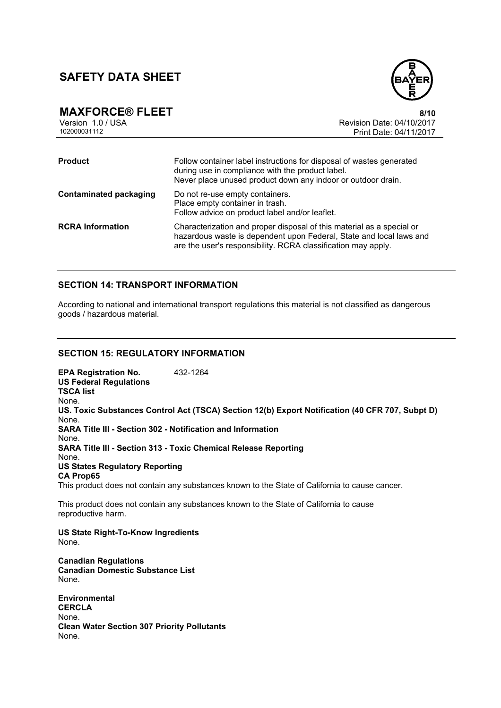

**MAXFORCE® FLEET**<br>Version 1.0 / USA **8/10**<br>Revision Date: 04/10/2017 Version 1.0 / USA Revision Date: 04/10/2017<br>102000031112<br>Revision Date: 04/11/2017 Print Date: 04/11/2017 **Product** Follow container label instructions for disposal of wastes generated during use in compliance with the product label. Never place unused product down any indoor or outdoor drain. **Contaminated packaging** Do not re-use empty containers. Place empty container in trash. Follow advice on product label and/or leaflet. **RCRA Information** Characterization and proper disposal of this material as a special or

# hazardous waste is dependent upon Federal, State and local laws and are the user's responsibility. RCRA classification may apply.

## **SECTION 14: TRANSPORT INFORMATION**

According to national and international transport regulations this material is not classified as dangerous goods / hazardous material.

## **SECTION 15: REGULATORY INFORMATION**

**EPA Registration No.** 432-1264 **US Federal Regulations TSCA list** None. **US. Toxic Substances Control Act (TSCA) Section 12(b) Export Notification (40 CFR 707, Subpt D)** None. **SARA Title III - Section 302 - Notification and Information** None. **SARA Title III - Section 313 - Toxic Chemical Release Reporting** None. **US States Regulatory Reporting CA Prop65** This product does not contain any substances known to the State of California to cause cancer. This product does not contain any substances known to the State of California to cause reproductive harm. **US State Right-To-Know Ingredients** None. **Canadian Regulations Canadian Domestic Substance List**  None. **Environmental**

**CERCLA**  None. **Clean Water Section 307 Priority Pollutants**  None.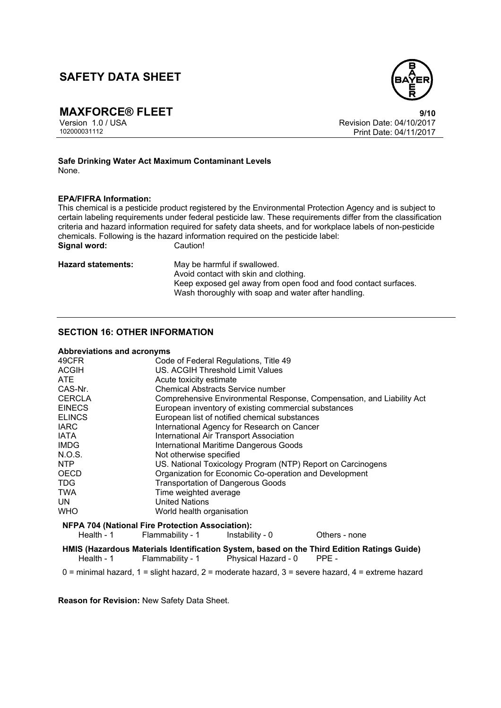

**MAXFORCE® FLEET**<br>Version 1.0 / USA **1.0 / USA** Version Date: 04/10/2017 Version 1.0 / USA Revision Date: 04/10/2017<br>102000031112 Print Date: 04/11/2017 Print Date: 04/11/2017

#### **Safe Drinking Water Act Maximum Contaminant Levels**  None.

### **EPA/FIFRA Information:**

This chemical is a pesticide product registered by the Environmental Protection Agency and is subject to certain labeling requirements under federal pesticide law. These requirements differ from the classification criteria and hazard information required for safety data sheets, and for workplace labels of non-pesticide chemicals. Following is the hazard information required on the pesticide label:<br>Signal word: Caution! **Signal word:** 

**Hazard statements:** May be harmful if swallowed. Avoid contact with skin and clothing. Keep exposed gel away from open food and food contact surfaces. Wash thoroughly with soap and water after handling.

## **SECTION 16: OTHER INFORMATION**

#### **Abbreviations and acronyms**

| 49CFR                                                   |                                          | Code of Federal Regulations, Title 49                                 |               |  |
|---------------------------------------------------------|------------------------------------------|-----------------------------------------------------------------------|---------------|--|
| <b>ACGIH</b>                                            |                                          | US. ACGIH Threshold Limit Values                                      |               |  |
| ATE.                                                    |                                          | Acute toxicity estimate                                               |               |  |
| CAS-Nr.                                                 |                                          | <b>Chemical Abstracts Service number</b>                              |               |  |
| <b>CERCLA</b>                                           |                                          | Comprehensive Environmental Response, Compensation, and Liability Act |               |  |
| <b>EINECS</b>                                           |                                          | European inventory of existing commercial substances                  |               |  |
| <b>ELINCS</b>                                           |                                          | European list of notified chemical substances                         |               |  |
| <b>IARC</b>                                             |                                          | International Agency for Research on Cancer                           |               |  |
| IATA                                                    |                                          | International Air Transport Association                               |               |  |
| <b>IMDG</b>                                             |                                          | <b>International Maritime Dangerous Goods</b>                         |               |  |
| N.O.S.                                                  |                                          | Not otherwise specified                                               |               |  |
| NTP                                                     |                                          | US. National Toxicology Program (NTP) Report on Carcinogens           |               |  |
| <b>OECD</b>                                             |                                          | Organization for Economic Co-operation and Development                |               |  |
| <b>TDG</b>                                              | <b>Transportation of Dangerous Goods</b> |                                                                       |               |  |
| <b>TWA</b>                                              | Time weighted average                    |                                                                       |               |  |
| UN.                                                     | <b>United Nations</b>                    |                                                                       |               |  |
| <b>WHO</b>                                              | World health organisation                |                                                                       |               |  |
| <b>NFPA 704 (National Fire Protection Association):</b> |                                          |                                                                       |               |  |
|                                                         | Health - 1 Flammability - 1              | Instability - 0                                                       | Others - none |  |

**HMIS (Hazardous Materials Identification System, based on the Third Edition Ratings Guide)**  $P$ hysical Hazard - 0

 $0 =$  minimal hazard,  $1 =$  slight hazard,  $2 =$  moderate hazard,  $3 =$  severe hazard,  $4 =$  extreme hazard

**Reason for Revision:** New Safety Data Sheet.